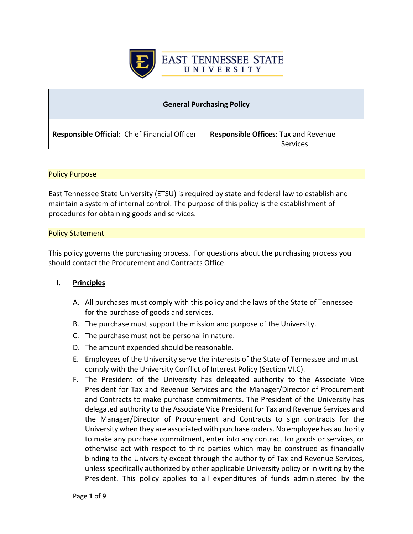

| <b>General Purchasing Policy</b>              |                                                         |
|-----------------------------------------------|---------------------------------------------------------|
| Responsible Official: Chief Financial Officer | <b>Responsible Offices: Tax and Revenue</b><br>Services |

#### Policy Purpose

East Tennessee State University (ETSU) is required by state and federal law to establish and maintain a system of internal control. The purpose of this policy is the establishment of procedures for obtaining goods and services.

#### Policy Statement

This policy governs the purchasing process. For questions about the purchasing process you should contact the Procurement and Contracts Office.

#### **I. Principles**

- A. All purchases must comply with this policy and the laws of the State of Tennessee for the purchase of goods and services.
- B. The purchase must support the mission and purpose of the University.
- C. The purchase must not be personal in nature.
- D. The amount expended should be reasonable.
- E. Employees of the University serve the interests of the State of Tennessee and must comply with the University Conflict of Interest Policy (Section VI.C).
- F. The President of the University has delegated authority to the Associate Vice President for Tax and Revenue Services and the Manager/Director of Procurement and Contracts to make purchase commitments. The President of the University has delegated authority to the Associate Vice President for Tax and Revenue Services and the Manager/Director of Procurement and Contracts to sign contracts for the University when they are associated with purchase orders. No employee has authority to make any purchase commitment, enter into any contract for goods or services, or otherwise act with respect to third parties which may be construed as financially binding to the University except through the authority of Tax and Revenue Services, unless specifically authorized by other applicable University policy or in writing by the President. This policy applies to all expenditures of funds administered by the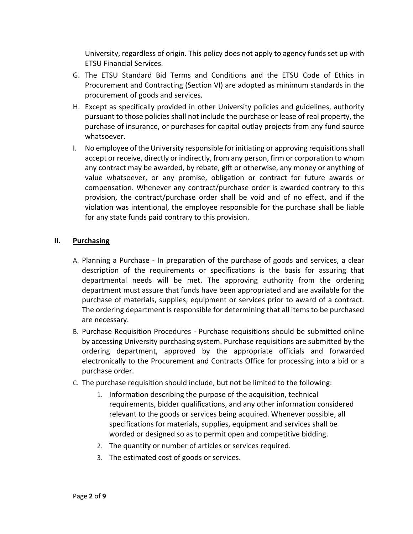University, regardless of origin. This policy does not apply to agency funds set up with ETSU Financial Services.

- G. The ETSU Standard Bid Terms and Conditions and the ETSU Code of Ethics in Procurement and Contracting (Section VI) are adopted as minimum standards in the procurement of goods and services.
- H. Except as specifically provided in other University policies and guidelines, authority pursuant to those policies shall not include the purchase or lease of real property, the purchase of insurance, or purchases for capital outlay projects from any fund source whatsoever.
- I. No employee of the University responsible for initiating or approving requisitions shall accept or receive, directly or indirectly, from any person, firm or corporation to whom any contract may be awarded, by rebate, gift or otherwise, any money or anything of value whatsoever, or any promise, obligation or contract for future awards or compensation. Whenever any contract/purchase order is awarded contrary to this provision, the contract/purchase order shall be void and of no effect, and if the violation was intentional, the employee responsible for the purchase shall be liable for any state funds paid contrary to this provision.

# **II. Purchasing**

- A. Planning a Purchase In preparation of the purchase of goods and services, a clear description of the requirements or specifications is the basis for assuring that departmental needs will be met. The approving authority from the ordering department must assure that funds have been appropriated and are available for the purchase of materials, supplies, equipment or services prior to award of a contract. The ordering department is responsible for determining that all items to be purchased are necessary.
- B. Purchase Requisition Procedures Purchase requisitions should be submitted online by accessing University purchasing system. Purchase requisitions are submitted by the ordering department, approved by the appropriate officials and forwarded electronically to the Procurement and Contracts Office for processing into a bid or a purchase order.
- C. The purchase requisition should include, but not be limited to the following:
	- 1. Information describing the purpose of the acquisition, technical requirements, bidder qualifications, and any other information considered relevant to the goods or services being acquired. Whenever possible, all specifications for materials, supplies, equipment and services shall be worded or designed so as to permit open and competitive bidding.
	- 2. The quantity or number of articles or services required.
	- 3. The estimated cost of goods or services.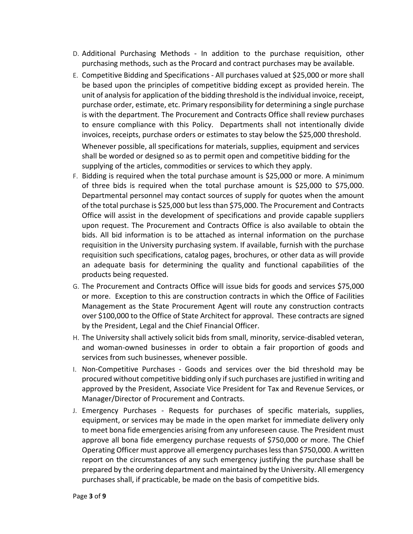- D. Additional Purchasing Methods In addition to the purchase requisition, other purchasing methods, such as the Procard and contract purchases may be available.
- E. Competitive Bidding and Specifications All purchases valued at \$25,000 or more shall be based upon the principles of competitive bidding except as provided herein. The unit of analysis for application of the bidding threshold is the individual invoice, receipt, purchase order, estimate, etc. Primary responsibility for determining a single purchase is with the department. The Procurement and Contracts Office shall review purchases to ensure compliance with this Policy. Departments shall not intentionally divide invoices, receipts, purchase orders or estimates to stay below the \$25,000 threshold. Whenever possible, all specifications for materials, supplies, equipment and services shall be worded or designed so as to permit open and competitive bidding for the supplying of the articles, commodities or services to which they apply.
- F. Bidding is required when the total purchase amount is \$25,000 or more. A minimum of three bids is required when the total purchase amount is \$25,000 to \$75,000. Departmental personnel may contact sources of supply for quotes when the amount of the total purchase is \$25,000 but less than \$75,000. The Procurement and Contracts Office will assist in the development of specifications and provide capable suppliers upon request. The Procurement and Contracts Office is also available to obtain the bids. All bid information is to be attached as internal information on the purchase requisition in the University purchasing system. If available, furnish with the purchase requisition such specifications, catalog pages, brochures, or other data as will provide an adequate basis for determining the quality and functional capabilities of the products being requested.
- G. The Procurement and Contracts Office will issue bids for goods and services \$75,000 or more. Exception to this are construction contracts in which the Office of Facilities Management as the State Procurement Agent will route any construction contracts over \$100,000 to the Office of State Architect for approval. These contracts are signed by the President, Legal and the Chief Financial Officer.
- H. The University shall actively solicit bids from small, minority, service-disabled veteran, and woman-owned businesses in order to obtain a fair proportion of goods and services from such businesses, whenever possible.
- I. Non-Competitive Purchases Goods and services over the bid threshold may be procured without competitive bidding only if such purchases are justified in writing and approved by the President, Associate Vice President for Tax and Revenue Services, or Manager/Director of Procurement and Contracts.
- J. Emergency Purchases Requests for purchases of specific materials, supplies, equipment, or services may be made in the open market for immediate delivery only to meet bona fide emergencies arising from any unforeseen cause. The President must approve all bona fide emergency purchase requests of \$750,000 or more. The Chief Operating Officer must approve all emergency purchases less than \$750,000. A written report on the circumstances of any such emergency justifying the purchase shall be prepared by the ordering department and maintained by the University. All emergency purchases shall, if practicable, be made on the basis of competitive bids.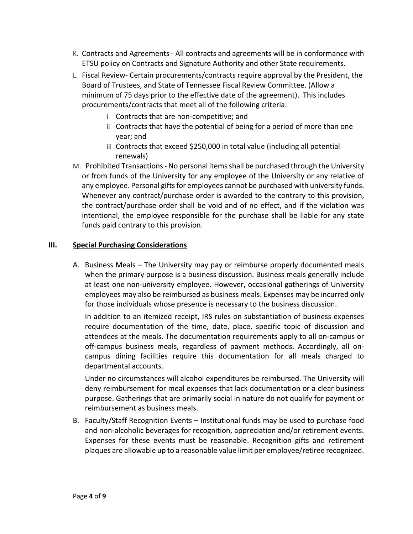- K. Contracts and Agreements All contracts and agreements will be in conformance with ETSU policy on Contracts and Signature Authority and other State requirements.
- L. Fiscal Review- Certain procurements/contracts require approval by the President, the Board of Trustees, and State of Tennessee Fiscal Review Committee. (Allow a minimum of 75 days prior to the effective date of the agreement). This includes procurements/contracts that meet all of the following criteria:
	- i Contracts that are non-competitive; and
	- ii Contracts that have the potential of being for a period of more than one year; and
	- iii Contracts that exceed \$250,000 in total value (including all potential renewals)
- M. Prohibited Transactions No personal items shall be purchased through the University or from funds of the University for any employee of the University or any relative of any employee. Personal gifts for employees cannot be purchased with university funds. Whenever any contract/purchase order is awarded to the contrary to this provision, the contract/purchase order shall be void and of no effect, and if the violation was intentional, the employee responsible for the purchase shall be liable for any state funds paid contrary to this provision.

# **III. Special Purchasing Considerations**

A. Business Meals – The University may pay or reimburse properly documented meals when the primary purpose is a business discussion. Business meals generally include at least one non-university employee. However, occasional gatherings of University employees may also be reimbursed as business meals. Expenses may be incurred only for those individuals whose presence is necessary to the business discussion.

In addition to an itemized receipt, IRS rules on substantiation of business expenses require documentation of the time, date, place, specific topic of discussion and attendees at the meals. The documentation requirements apply to all on-campus or off-campus business meals, regardless of payment methods. Accordingly, all oncampus dining facilities require this documentation for all meals charged to departmental accounts.

Under no circumstances will alcohol expenditures be reimbursed. The University will deny reimbursement for meal expenses that lack documentation or a clear business purpose. Gatherings that are primarily social in nature do not qualify for payment or reimbursement as business meals.

B. Faculty/Staff Recognition Events – Institutional funds may be used to purchase food and non-alcoholic beverages for recognition, appreciation and/or retirement events. Expenses for these events must be reasonable. Recognition gifts and retirement plaques are allowable up to a reasonable value limit per employee/retiree recognized.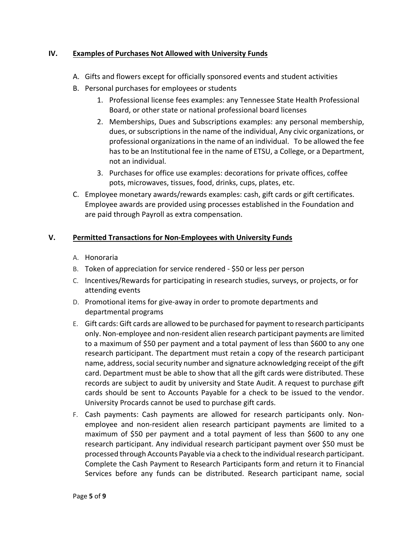# **IV. Examples of Purchases Not Allowed with University Funds**

- A. Gifts and flowers except for officially sponsored events and student activities
- B. Personal purchases for employees or students
	- 1. Professional license fees examples: any Tennessee State Health Professional Board, or other state or national professional board licenses
	- 2. Memberships, Dues and Subscriptions examples: any personal membership, dues, or subscriptions in the name of the individual, Any civic organizations, or professional organizations in the name of an individual. To be allowed the fee has to be an Institutional fee in the name of ETSU, a College, or a Department, not an individual.
	- 3. Purchases for office use examples: decorations for private offices, coffee pots, microwaves, tissues, food, drinks, cups, plates, etc.
- C. Employee monetary awards/rewards examples: cash, gift cards or gift certificates. Employee awards are provided using processes established in the Foundation and are paid through Payroll as extra compensation.

# **V. Permitted Transactions for Non-Employees with University Funds**

- A. Honoraria
- B. Token of appreciation for service rendered \$50 or less per person
- C. Incentives/Rewards for participating in research studies, surveys, or projects, or for attending events
- D. Promotional items for give-away in order to promote departments and departmental programs
- E. Gift cards: Gift cards are allowed to be purchased for payment to research participants only. Non-employee and non-resident alien research participant payments are limited to a maximum of \$50 per payment and a total payment of less than \$600 to any one research participant. The department must retain a copy of the research participant name, address, social security number and signature acknowledging receipt of the gift card. Department must be able to show that all the gift cards were distributed. These records are subject to audit by university and State Audit. A request to purchase gift cards should be sent to Accounts Payable for a check to be issued to the vendor. University Procards cannot be used to purchase gift cards.
- F. Cash payments: Cash payments are allowed for research participants only. Nonemployee and non-resident alien research participant payments are limited to a maximum of \$50 per payment and a total payment of less than \$600 to any one research participant. Any individual research participant payment over \$50 must be processed through Accounts Payable via a check to the individual research participant. Complete the Cash Payment to Research Participants form and return it to Financial Services before any funds can be distributed. Research participant name, social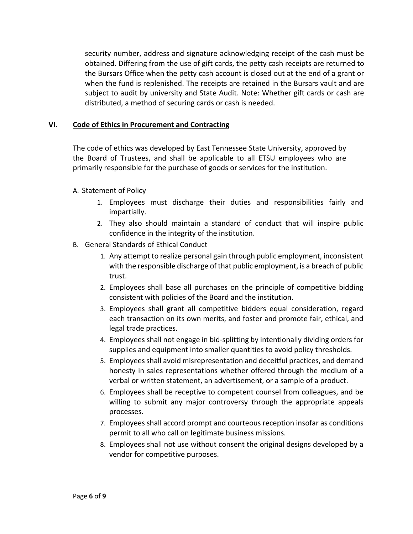security number, address and signature acknowledging receipt of the cash must be obtained. Differing from the use of gift cards, the petty cash receipts are returned to the Bursars Office when the petty cash account is closed out at the end of a grant or when the fund is replenished. The receipts are retained in the Bursars vault and are subject to audit by university and State Audit. Note: Whether gift cards or cash are distributed, a method of securing cards or cash is needed.

## **VI. Code of Ethics in Procurement and Contracting**

The code of ethics was developed by East Tennessee State University, approved by the Board of Trustees, and shall be applicable to all ETSU employees who are primarily responsible for the purchase of goods or services for the institution.

### A. Statement of Policy

- 1. Employees must discharge their duties and responsibilities fairly and impartially.
- 2. They also should maintain a standard of conduct that will inspire public confidence in the integrity of the institution.
- B. General Standards of Ethical Conduct
	- 1. Any attempt to realize personal gain through public employment, inconsistent with the responsible discharge of that public employment, is a breach of public trust.
	- 2. Employees shall base all purchases on the principle of competitive bidding consistent with policies of the Board and the institution.
	- 3. Employees shall grant all competitive bidders equal consideration, regard each transaction on its own merits, and foster and promote fair, ethical, and legal trade practices.
	- 4. Employees shall not engage in bid-splitting by intentionally dividing orders for supplies and equipment into smaller quantities to avoid policy thresholds.
	- 5. Employees shall avoid misrepresentation and deceitful practices, and demand honesty in sales representations whether offered through the medium of a verbal or written statement, an advertisement, or a sample of a product.
	- 6. Employees shall be receptive to competent counsel from colleagues, and be willing to submit any major controversy through the appropriate appeals processes.
	- 7. Employees shall accord prompt and courteous reception insofar as conditions permit to all who call on legitimate business missions.
	- 8. Employees shall not use without consent the original designs developed by a vendor for competitive purposes.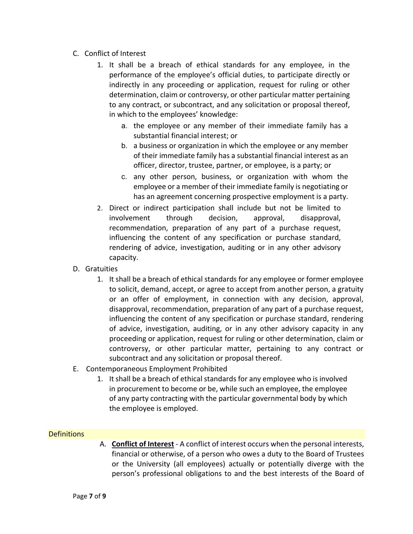- C. Conflict of Interest
	- 1. It shall be a breach of ethical standards for any employee, in the performance of the employee's official duties, to participate directly or indirectly in any proceeding or application, request for ruling or other determination, claim or controversy, or other particular matter pertaining to any contract, or subcontract, and any solicitation or proposal thereof, in which to the employees' knowledge:
		- a. the employee or any member of their immediate family has a substantial financial interest; or
		- b. a business or organization in which the employee or any member of their immediate family has a substantial financial interest as an officer, director, trustee, partner, or employee, is a party; or
		- c. any other person, business, or organization with whom the employee or a member of their immediate family is negotiating or has an agreement concerning prospective employment is a party.
	- 2. Direct or indirect participation shall include but not be limited to involvement through decision, approval, disapproval, recommendation, preparation of any part of a purchase request, influencing the content of any specification or purchase standard, rendering of advice, investigation, auditing or in any other advisory capacity.
- D. Gratuities
	- 1. It shall be a breach of ethical standards for any employee or former employee to solicit, demand, accept, or agree to accept from another person, a gratuity or an offer of employment, in connection with any decision, approval, disapproval, recommendation, preparation of any part of a purchase request, influencing the content of any specification or purchase standard, rendering of advice, investigation, auditing, or in any other advisory capacity in any proceeding or application, request for ruling or other determination, claim or controversy, or other particular matter, pertaining to any contract or subcontract and any solicitation or proposal thereof.
- E. Contemporaneous Employment Prohibited
	- 1. It shall be a breach of ethical standards for any employee who is involved in procurement to become or be, while such an employee, the employee of any party contracting with the particular governmental body by which the employee is employed.

### **Definitions**

A. **Conflict of Interest** - A conflict of interest occurs when the personal interests, financial or otherwise, of a person who owes a duty to the Board of Trustees or the University (all employees) actually or potentially diverge with the person's professional obligations to and the best interests of the Board of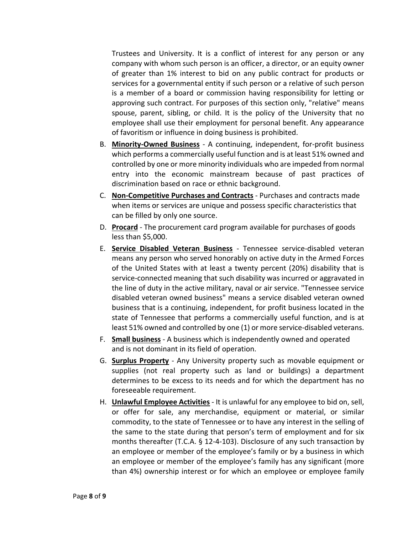Trustees and University. It is a conflict of interest for any person or any company with whom such person is an officer, a director, or an equity owner of greater than 1% interest to bid on any public contract for products or services for a governmental entity if such person or a relative of such person is a member of a board or commission having responsibility for letting or approving such contract. For purposes of this section only, "relative" means spouse, parent, sibling, or child. It is the policy of the University that no employee shall use their employment for personal benefit. Any appearance of favoritism or influence in doing business is prohibited.

- B. **Minority-Owned Business** A continuing, independent, for-profit business which performs a commercially useful function and is at least 51% owned and controlled by one or more minority individuals who are impeded from normal entry into the economic mainstream because of past practices of discrimination based on race or ethnic background.
- C. **Non-Competitive Purchases and Contracts** Purchases and contracts made when items or services are unique and possess specific characteristics that can be filled by only one source.
- D. **Procard** The procurement card program available for purchases of goods less than \$5,000.
- E. **Service Disabled Veteran Business** Tennessee service-disabled veteran means any person who served honorably on active duty in the Armed Forces of the United States with at least a twenty percent (20%) disability that is service-connected meaning that such disability was incurred or aggravated in the line of duty in the active military, naval or air service. "Tennessee service disabled veteran owned business" means a service disabled veteran owned business that is a continuing, independent, for profit business located in the state of Tennessee that performs a commercially useful function, and is at least 51% owned and controlled by one (1) or more service-disabled veterans.
- F. **Small business** A business which is independently owned and operated and is not dominant in its field of operation.
- G. **Surplus Property** Any University property such as movable equipment or supplies (not real property such as land or buildings) a department determines to be excess to its needs and for which the department has no foreseeable requirement.
- H. **Unlawful Employee Activities** It is unlawful for any employee to bid on, sell, or offer for sale, any merchandise, equipment or material, or similar commodity, to the state of Tennessee or to have any interest in the selling of the same to the state during that person's term of employment and for six months thereafter (T.C.A. § 12-4-103). Disclosure of any such transaction by an employee or member of the employee's family or by a business in which an employee or member of the employee's family has any significant (more than 4%) ownership interest or for which an employee or employee family